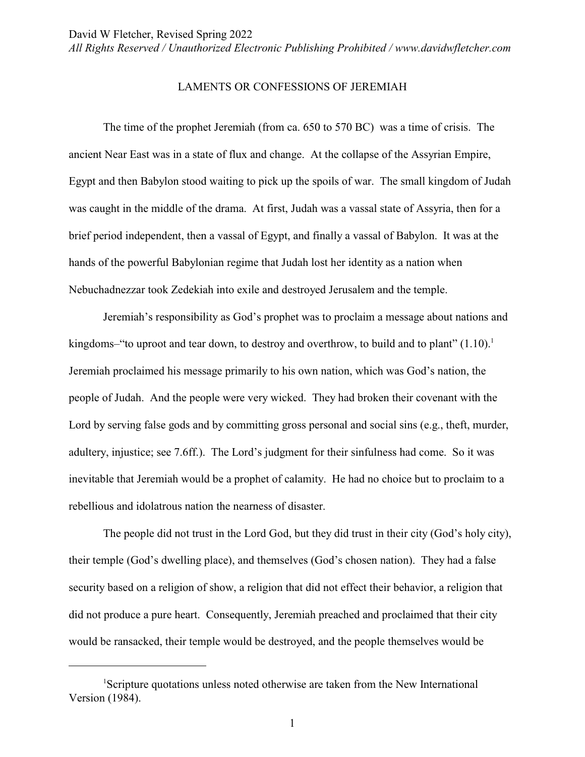## LAMENTS OR CONFESSIONS OF JEREMIAH

The time of the prophet Jeremiah (from ca. 650 to 570 BC) was a time of crisis. The ancient Near East was in a state of flux and change. At the collapse of the Assyrian Empire, Egypt and then Babylon stood waiting to pick up the spoils of war. The small kingdom of Judah was caught in the middle of the drama. At first, Judah was a vassal state of Assyria, then for a brief period independent, then a vassal of Egypt, and finally a vassal of Babylon. It was at the hands of the powerful Babylonian regime that Judah lost her identity as a nation when Nebuchadnezzar took Zedekiah into exile and destroyed Jerusalem and the temple.

Jeremiah's responsibility as God's prophet was to proclaim a message about nations and kingdoms–"to uproot and tear down, to destroy and overthrow, to build and to plant" (1.10).<sup>1</sup> Jeremiah proclaimed his message primarily to his own nation, which was God's nation, the people of Judah. And the people were very wicked. They had broken their covenant with the Lord by serving false gods and by committing gross personal and social sins (e.g., theft, murder, adultery, injustice; see 7.6ff.). The Lord's judgment for their sinfulness had come. So it was inevitable that Jeremiah would be a prophet of calamity. He had no choice but to proclaim to a rebellious and idolatrous nation the nearness of disaster.

The people did not trust in the Lord God, but they did trust in their city (God's holy city), their temple (God's dwelling place), and themselves (God's chosen nation). They had a false security based on a religion of show, a religion that did not effect their behavior, a religion that did not produce a pure heart. Consequently, Jeremiah preached and proclaimed that their city would be ransacked, their temple would be destroyed, and the people themselves would be

Scripture quotations unless noted otherwise are taken from the New International <sup>1</sup> Version (1984).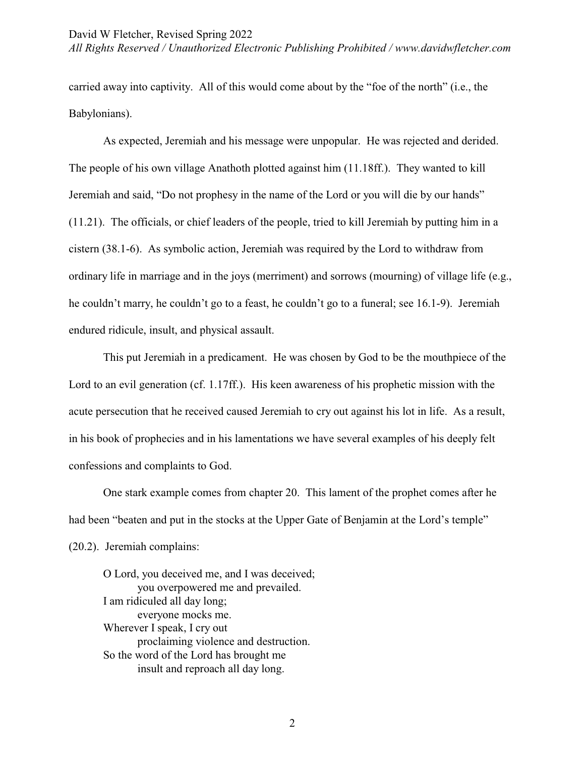carried away into captivity. All of this would come about by the "foe of the north" (i.e., the Babylonians).

As expected, Jeremiah and his message were unpopular. He was rejected and derided. The people of his own village Anathoth plotted against him (11.18ff.). They wanted to kill Jeremiah and said, "Do not prophesy in the name of the Lord or you will die by our hands" (11.21). The officials, or chief leaders of the people, tried to kill Jeremiah by putting him in a cistern (38.1-6). As symbolic action, Jeremiah was required by the Lord to withdraw from ordinary life in marriage and in the joys (merriment) and sorrows (mourning) of village life (e.g., he couldn't marry, he couldn't go to a feast, he couldn't go to a funeral; see 16.1-9). Jeremiah endured ridicule, insult, and physical assault.

This put Jeremiah in a predicament. He was chosen by God to be the mouthpiece of the Lord to an evil generation (cf. 1.17ff.). His keen awareness of his prophetic mission with the acute persecution that he received caused Jeremiah to cry out against his lot in life. As a result, in his book of prophecies and in his lamentations we have several examples of his deeply felt confessions and complaints to God.

One stark example comes from chapter 20. This lament of the prophet comes after he had been "beaten and put in the stocks at the Upper Gate of Benjamin at the Lord's temple" (20.2). Jeremiah complains:

O Lord, you deceived me, and I was deceived; you overpowered me and prevailed. I am ridiculed all day long; everyone mocks me. Wherever I speak, I cry out proclaiming violence and destruction. So the word of the Lord has brought me insult and reproach all day long.

2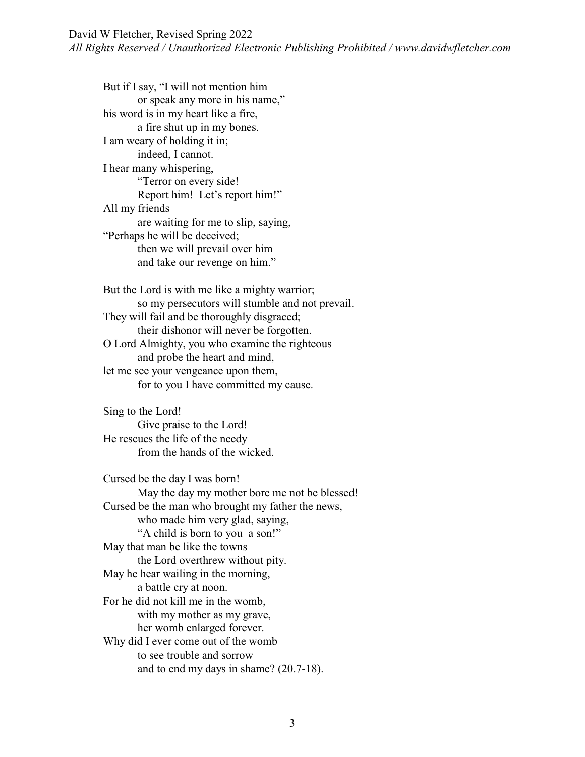David W Fletcher, Revised Spring 2022 *All Rights Reserved / Unauthorized Electronic Publishing Prohibited / www.davidwfletcher.com*

But if I say, "I will not mention him or speak any more in his name," his word is in my heart like a fire, a fire shut up in my bones. I am weary of holding it in; indeed, I cannot. I hear many whispering, "Terror on every side! Report him! Let's report him!" All my friends are waiting for me to slip, saying, "Perhaps he will be deceived; then we will prevail over him and take our revenge on him."

But the Lord is with me like a mighty warrior; so my persecutors will stumble and not prevail. They will fail and be thoroughly disgraced; their dishonor will never be forgotten. O Lord Almighty, you who examine the righteous and probe the heart and mind, let me see your vengeance upon them, for to you I have committed my cause.

Sing to the Lord! Give praise to the Lord! He rescues the life of the needy from the hands of the wicked.

Cursed be the day I was born! May the day my mother bore me not be blessed! Cursed be the man who brought my father the news, who made him very glad, saying, "A child is born to you–a son!" May that man be like the towns the Lord overthrew without pity. May he hear wailing in the morning, a battle cry at noon. For he did not kill me in the womb, with my mother as my grave, her womb enlarged forever. Why did I ever come out of the womb to see trouble and sorrow and to end my days in shame? (20.7-18).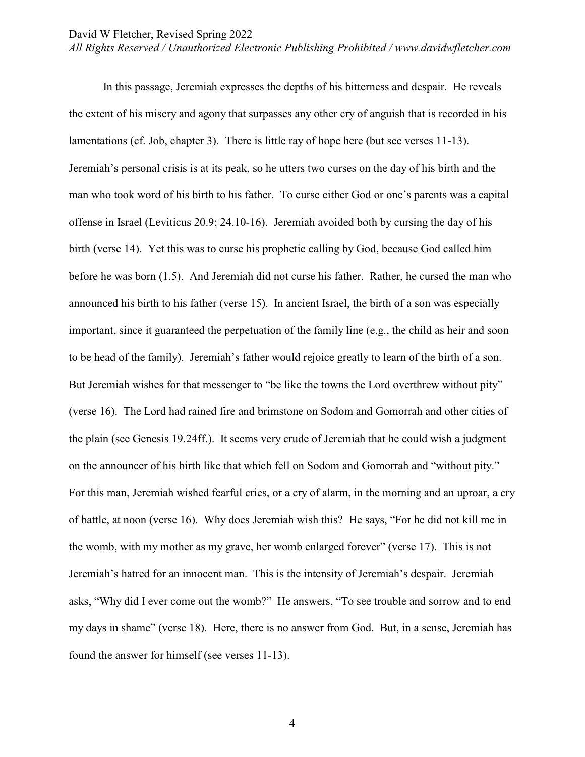## David W Fletcher, Revised Spring 2022

*All Rights Reserved / Unauthorized Electronic Publishing Prohibited / www.davidwfletcher.com*

In this passage, Jeremiah expresses the depths of his bitterness and despair. He reveals the extent of his misery and agony that surpasses any other cry of anguish that is recorded in his lamentations (cf. Job, chapter 3). There is little ray of hope here (but see verses 11-13). Jeremiah's personal crisis is at its peak, so he utters two curses on the day of his birth and the man who took word of his birth to his father. To curse either God or one's parents was a capital offense in Israel (Leviticus 20.9; 24.10-16). Jeremiah avoided both by cursing the day of his birth (verse 14). Yet this was to curse his prophetic calling by God, because God called him before he was born (1.5). And Jeremiah did not curse his father. Rather, he cursed the man who announced his birth to his father (verse 15). In ancient Israel, the birth of a son was especially important, since it guaranteed the perpetuation of the family line (e.g., the child as heir and soon to be head of the family). Jeremiah's father would rejoice greatly to learn of the birth of a son. But Jeremiah wishes for that messenger to "be like the towns the Lord overthrew without pity" (verse 16). The Lord had rained fire and brimstone on Sodom and Gomorrah and other cities of the plain (see Genesis 19.24ff.). It seems very crude of Jeremiah that he could wish a judgment on the announcer of his birth like that which fell on Sodom and Gomorrah and "without pity." For this man, Jeremiah wished fearful cries, or a cry of alarm, in the morning and an uproar, a cry of battle, at noon (verse 16). Why does Jeremiah wish this? He says, "For he did not kill me in the womb, with my mother as my grave, her womb enlarged forever" (verse 17). This is not Jeremiah's hatred for an innocent man. This is the intensity of Jeremiah's despair. Jeremiah asks, "Why did I ever come out the womb?" He answers, "To see trouble and sorrow and to end my days in shame" (verse 18). Here, there is no answer from God. But, in a sense, Jeremiah has found the answer for himself (see verses 11-13).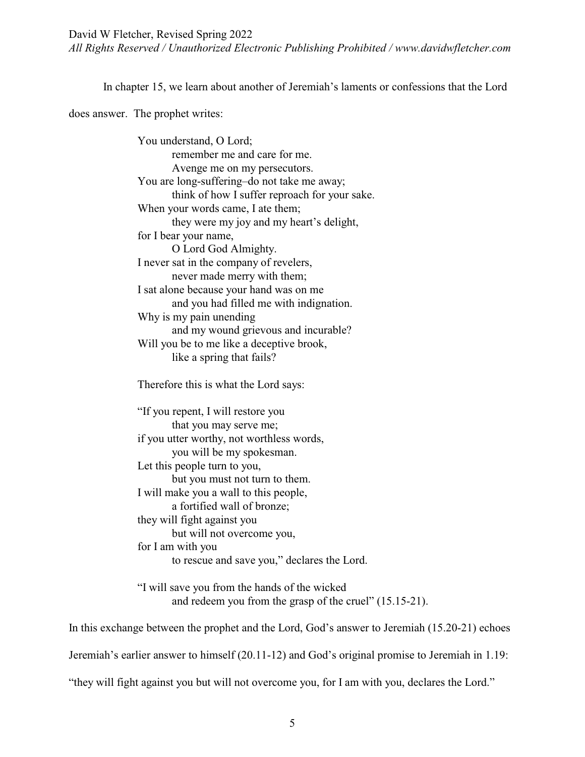In chapter 15, we learn about another of Jeremiah's laments or confessions that the Lord

does answer. The prophet writes:

You understand, O Lord; remember me and care for me. Avenge me on my persecutors. You are long-suffering–do not take me away; think of how I suffer reproach for your sake. When your words came, I ate them; they were my joy and my heart's delight, for I bear your name, O Lord God Almighty. I never sat in the company of revelers, never made merry with them; I sat alone because your hand was on me and you had filled me with indignation. Why is my pain unending and my wound grievous and incurable? Will you be to me like a deceptive brook, like a spring that fails?

Therefore this is what the Lord says:

"If you repent, I will restore you that you may serve me; if you utter worthy, not worthless words, you will be my spokesman. Let this people turn to you, but you must not turn to them. I will make you a wall to this people, a fortified wall of bronze; they will fight against you but will not overcome you, for I am with you to rescue and save you," declares the Lord.

"I will save you from the hands of the wicked and redeem you from the grasp of the cruel" (15.15-21).

In this exchange between the prophet and the Lord, God's answer to Jeremiah (15.20-21) echoes Jeremiah's earlier answer to himself (20.11-12) and God's original promise to Jeremiah in 1.19:

"they will fight against you but will not overcome you, for I am with you, declares the Lord."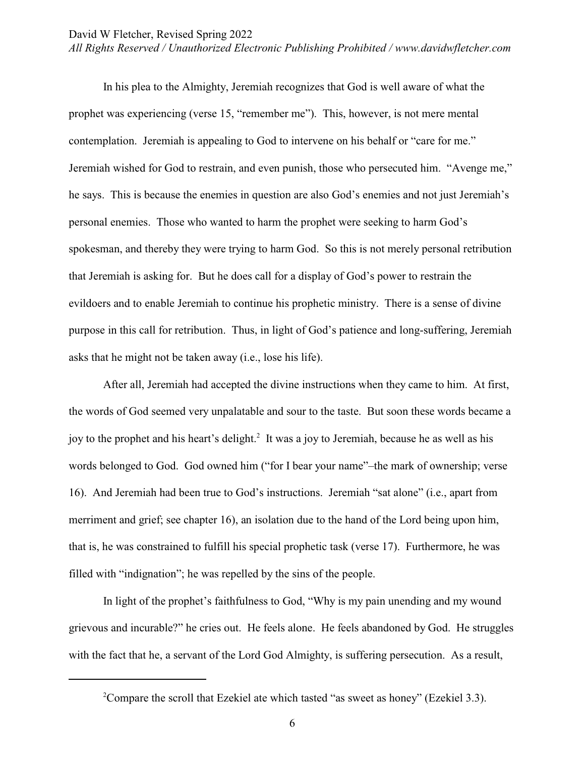## David W Fletcher, Revised Spring 2022

*All Rights Reserved / Unauthorized Electronic Publishing Prohibited / www.davidwfletcher.com*

In his plea to the Almighty, Jeremiah recognizes that God is well aware of what the prophet was experiencing (verse 15, "remember me"). This, however, is not mere mental contemplation. Jeremiah is appealing to God to intervene on his behalf or "care for me." Jeremiah wished for God to restrain, and even punish, those who persecuted him. "Avenge me," he says. This is because the enemies in question are also God's enemies and not just Jeremiah's personal enemies. Those who wanted to harm the prophet were seeking to harm God's spokesman, and thereby they were trying to harm God. So this is not merely personal retribution that Jeremiah is asking for. But he does call for a display of God's power to restrain the evildoers and to enable Jeremiah to continue his prophetic ministry. There is a sense of divine purpose in this call for retribution. Thus, in light of God's patience and long-suffering, Jeremiah asks that he might not be taken away (i.e., lose his life).

After all, Jeremiah had accepted the divine instructions when they came to him. At first, the words of God seemed very unpalatable and sour to the taste. But soon these words became a joy to the prophet and his heart's delight.<sup>2</sup> It was a joy to Jeremiah, because he as well as his words belonged to God. God owned him ("for I bear your name"–the mark of ownership; verse 16). And Jeremiah had been true to God's instructions. Jeremiah "sat alone" (i.e., apart from merriment and grief; see chapter 16), an isolation due to the hand of the Lord being upon him, that is, he was constrained to fulfill his special prophetic task (verse 17). Furthermore, he was filled with "indignation"; he was repelled by the sins of the people.

In light of the prophet's faithfulness to God, "Why is my pain unending and my wound grievous and incurable?" he cries out. He feels alone. He feels abandoned by God. He struggles with the fact that he, a servant of the Lord God Almighty, is suffering persecution. As a result,

<sup>&</sup>lt;sup>2</sup> Compare the scroll that Ezekiel ate which tasted "as sweet as honey" (Ezekiel 3.3).